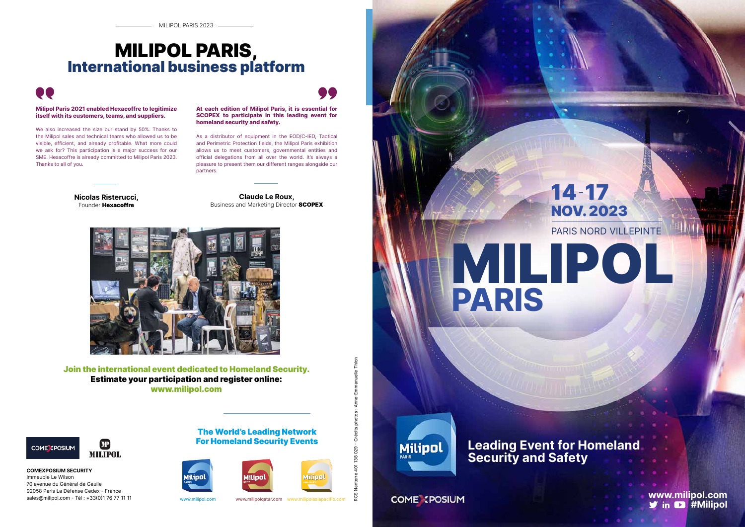

## 14 17 NOV. 2023 PARIS NORD VILLEPINTE

**PARIS**

### COME IPOSIUM

**www.milipol.com y** in **D** #Milipol

## ,, ,, **MILIPOL PARIS,<br>International business platform**



### **Leading Event for Homeland Security and Safety**

**Claude Le Roux,** Business and Marketing Director SCOPEX



**At each edition of Milipol Paris, it is essential for SCOPEX to participate in this leading event for homeland security and safety.**

As a distributor of equipment in the EOD/C-IED, Tactical and Perimetric Protection fields, the Milipol Paris exhibition allows us to meet customers, governmental entities and official delegations from all over the world. It's always a pleasure to present them our different ranges alongside our partners.

> RCS Nanterre 401 138 029 - Crédits photos : Anne-Emmanuelle Thion 401 138 029 - Crédits photos aue ပ္လ



Join the international event dedicated to Homeland Security. Estimate your participation and register online: www.milipol.com



### The World's Leading Network For Homeland Security Events





www.milipol.com www.milipolqatar.com

**COMEXPOSIUM SECURITY** Immeuble Le Wilson 70 avenue du Général de Gaulle 92058 Paris La Défense Cedex - France sales@milipol.com - Tél : +33(0)1 76 77 11 11

#### **Milipol Paris 2021 enabled Hexacoffre to legitimize itself with its customers, teams, and suppliers.**

We also increased the size our stand by 50%. Thanks to the Milipol sales and technical teams who allowed us to be visible, efficient, and already profitable. What more could we ask for? This participation is a major success for our SME. Hexacoffre is already committed to Milipol Paris 2023. Thanks to all of you.